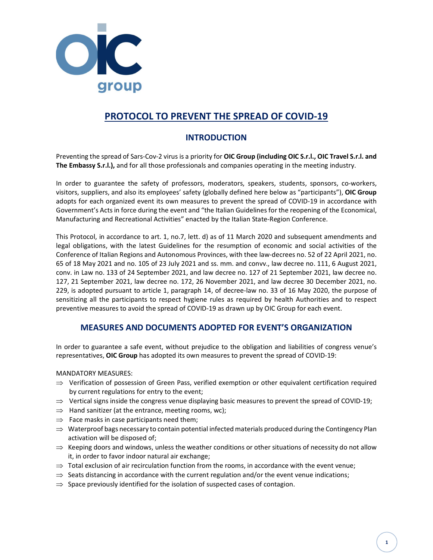

# PROTOCOL TO PREVENT THE SPREAD OF COVID-19

## INTRODUCTION

Preventing the spread of Sars-Cov-2 virus is a priority for **OIC Group (including OIC S.r.l., OIC Travel S.r.l. and** The Embassy S.r.l.), and for all those professionals and companies operating in the meeting industry.

In order to guarantee the safety of professors, moderators, speakers, students, sponsors, co-workers, visitors, suppliers, and also its employees' safety (globally defined here below as "participants"), OIC Group adopts for each organized event its own measures to prevent the spread of COVID-19 in accordance with Government's Acts in force during the event and "the Italian Guidelines for the reopening of the Economical, Manufacturing and Recreational Activities" enacted by the Italian State-Region Conference.

This Protocol, in accordance to art. 1, no.7, lett. d) as of 11 March 2020 and subsequent amendments and legal obligations, with the latest Guidelines for the resumption of economic and social activities of the Conference of Italian Regions and Autonomous Provinces, with thee law-decrees no. 52 of 22 April 2021, no. 65 of 18 May 2021 and no. 105 of 23 July 2021 and ss. mm. and convv., law decree no. 111, 6 August 2021, conv. in Law no. 133 of 24 September 2021, and law decree no. 127 of 21 September 2021, law decree no. 127, 21 September 2021, law decree no. 172, 26 November 2021, and law decree 30 December 2021, no. 229, is adopted pursuant to article 1, paragraph 14, of decree-law no. 33 of 16 May 2020, the purpose of sensitizing all the participants to respect hygiene rules as required by health Authorities and to respect preventive measures to avoid the spread of COVID-19 as drawn up by OIC Group for each event.

### MEASURES AND DOCUMENTS ADOPTED FOR EVENT'S ORGANIZATION

In order to guarantee a safe event, without prejudice to the obligation and liabilities of congress venue's representatives, OIC Group has adopted its own measures to prevent the spread of COVID-19:

MANDATORY MEASURES:

- $\Rightarrow$  Verification of possession of Green Pass, verified exemption or other equivalent certification required by current regulations for entry to the event;
- $\Rightarrow$  Vertical signs inside the congress venue displaying basic measures to prevent the spread of COVID-19;
- $\Rightarrow$  Hand sanitizer (at the entrance, meeting rooms, wc);
- $\Rightarrow$  Face masks in case participants need them;
- $\Rightarrow$  Waterproof bags necessary to contain potential infected materials produced during the Contingency Plan activation will be disposed of;
- $\Rightarrow$  Keeping doors and windows, unless the weather conditions or other situations of necessity do not allow it, in order to favor indoor natural air exchange;
- $\Rightarrow$  Total exclusion of air recirculation function from the rooms, in accordance with the event venue;
- $\Rightarrow$  Seats distancing in accordance with the current regulation and/or the event venue indications;
- $\Rightarrow$  Space previously identified for the isolation of suspected cases of contagion.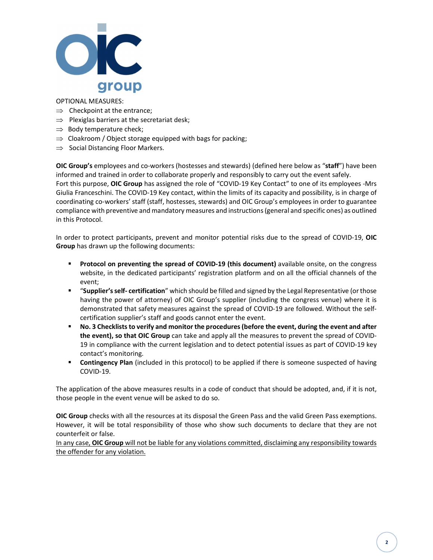

#### OPTIONAL MEASURES:

- $\Rightarrow$  Checkpoint at the entrance:
- $\Rightarrow$  Plexiglas barriers at the secretariat desk;
- $\Rightarrow$  Body temperature check;
- $\Rightarrow$  Cloakroom / Object storage equipped with bags for packing;
- $\Rightarrow$  Social Distancing Floor Markers.

OIC Group's employees and co-workers (hostesses and stewards) (defined here below as "staff") have been informed and trained in order to collaborate properly and responsibly to carry out the event safely. Fort this purpose, OIC Group has assigned the role of "COVID-19 Key Contact" to one of its employees -Mrs Giulia Franceschini. The COVID-19 Key contact, within the limits of its capacity and possibility, is in charge of coordinating co-workers' staff (staff, hostesses, stewards) and OIC Group's employees in order to guarantee compliance with preventive and mandatory measures and instructions (general and specific ones) as outlined in this Protocol.

In order to protect participants, prevent and monitor potential risks due to the spread of COVID-19, OIC Group has drawn up the following documents:

- Protocol on preventing the spread of COVID-19 (this document) available onsite, on the congress website, in the dedicated participants' registration platform and on all the official channels of the event;
- " "Supplier's self- certification" which should be filled and signed by the Legal Representative (or those having the power of attorney) of OIC Group's supplier (including the congress venue) where it is demonstrated that safety measures against the spread of COVID-19 are followed. Without the selfcertification supplier's staff and goods cannot enter the event.
- No. 3 Checklists to verify and monitor the procedures (before the event, during the event and after the event), so that OIC Group can take and apply all the measures to prevent the spread of COVID-19 in compliance with the current legislation and to detect potential issues as part of COVID-19 key contact's monitoring.
- Contingency Plan (included in this protocol) to be applied if there is someone suspected of having COVID-19.

The application of the above measures results in a code of conduct that should be adopted, and, if it is not, those people in the event venue will be asked to do so.

OIC Group checks with all the resources at its disposal the Green Pass and the valid Green Pass exemptions. However, it will be total responsibility of those who show such documents to declare that they are not counterfeit or false.

In any case, OIC Group will not be liable for any violations committed, disclaiming any responsibility towards the offender for any violation.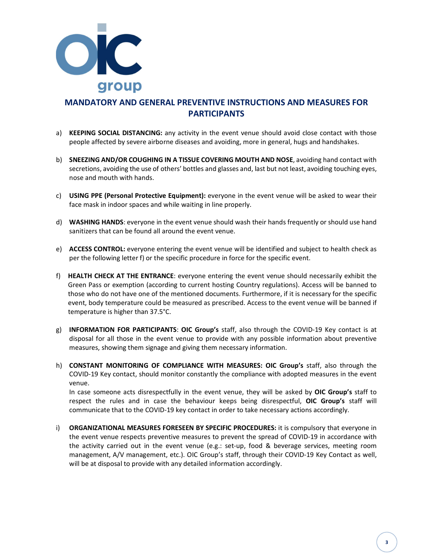

# MANDATORY AND GENERAL PREVENTIVE INSTRUCTIONS AND MEASURES FOR PARTICIPANTS

- a) KEEPING SOCIAL DISTANCING: any activity in the event venue should avoid close contact with those people affected by severe airborne diseases and avoiding, more in general, hugs and handshakes.
- b) SNEEZING AND/OR COUGHING IN A TISSUE COVERING MOUTH AND NOSE, avoiding hand contact with secretions, avoiding the use of others' bottles and glasses and, last but not least, avoiding touching eyes, nose and mouth with hands.
- c) USING PPE (Personal Protective Equipment): everyone in the event venue will be asked to wear their face mask in indoor spaces and while waiting in line properly.
- d) WASHING HANDS: everyone in the event venue should wash their hands frequently or should use hand sanitizers that can be found all around the event venue.
- e) ACCESS CONTROL: everyone entering the event venue will be identified and subject to health check as per the following letter f) or the specific procedure in force for the specific event.
- f) HEALTH CHECK AT THE ENTRANCE: everyone entering the event venue should necessarily exhibit the Green Pass or exemption (according to current hosting Country regulations). Access will be banned to those who do not have one of the mentioned documents. Furthermore, if it is necessary for the specific event, body temperature could be measured as prescribed. Access to the event venue will be banned if temperature is higher than 37.5°C.
- g) INFORMATION FOR PARTICIPANTS: OIC Group's staff, also through the COVID-19 Key contact is at disposal for all those in the event venue to provide with any possible information about preventive measures, showing them signage and giving them necessary information.
- h) CONSTANT MONITORING OF COMPLIANCE WITH MEASURES: OIC Group's staff, also through the COVID-19 Key contact, should monitor constantly the compliance with adopted measures in the event venue.

In case someone acts disrespectfully in the event venue, they will be asked by OIC Group's staff to respect the rules and in case the behaviour keeps being disrespectful, OIC Group's staff will communicate that to the COVID-19 key contact in order to take necessary actions accordingly.

i) ORGANIZATIONAL MEASURES FORESEEN BY SPECIFIC PROCEDURES: it is compulsory that everyone in the event venue respects preventive measures to prevent the spread of COVID-19 in accordance with the activity carried out in the event venue (e.g.: set-up, food & beverage services, meeting room management, A/V management, etc.). OIC Group's staff, through their COVID-19 Key Contact as well, will be at disposal to provide with any detailed information accordingly.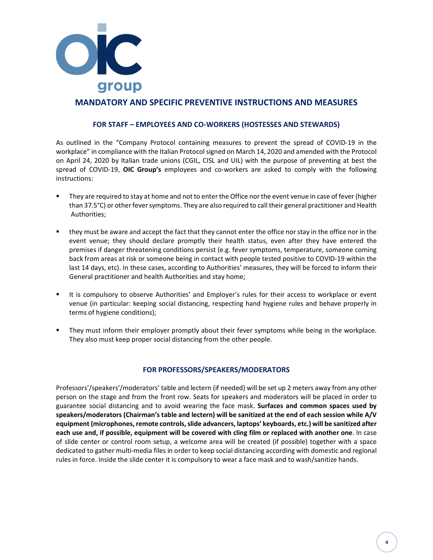

### MANDATORY AND SPECIFIC PREVENTIVE INSTRUCTIONS AND MEASURES

#### FOR STAFF – EMPLOYEES AND CO-WORKERS (HOSTESSES AND STEWARDS)

As outlined in the "Company Protocol containing measures to prevent the spread of COVID-19 in the workplace" in compliance with the Italian Protocol signed on March 14, 2020 and amended with the Protocol on April 24, 2020 by Italian trade unions (CGIL, CISL and UIL) with the purpose of preventing at best the spread of COVID-19, OIC Group's employees and co-workers are asked to comply with the following instructions:

- They are required to stay at home and not to enter the Office nor the event venue in case of fever (higher than 37.5°C) or other fever symptoms. They are also required to call their general practitioner and Health Authorities;
- they must be aware and accept the fact that they cannot enter the office nor stay in the office nor in the event venue; they should declare promptly their health status, even after they have entered the premises if danger threatening conditions persist (e.g. fever symptoms, temperature, someone coming back from areas at risk or someone being in contact with people tested positive to COVID-19 within the last 14 days, etc). In these cases, according to Authorities' measures, they will be forced to inform their General practitioner and health Authorities and stay home;
- It is compulsory to observe Authorities' and Employer's rules for their access to workplace or event venue (in particular: keeping social distancing, respecting hand hygiene rules and behave properly in terms of hygiene conditions);
- They must inform their employer promptly about their fever symptoms while being in the workplace. They also must keep proper social distancing from the other people.

#### FOR PROFESSORS/SPEAKERS/MODERATORS

Professors'/speakers'/moderators' table and lectern (if needed) will be set up 2 meters away from any other person on the stage and from the front row. Seats for speakers and moderators will be placed in order to guarantee social distancing and to avoid wearing the face mask. Surfaces and common spaces used by speakers/moderators (Chairman's table and lectern) will be sanitized at the end of each session while A/V equipment (microphones, remote controls, slide advancers, laptops' keyboards, etc.) will be sanitized after each use and, if possible, equipment will be covered with cling film or replaced with another one. In case of slide center or control room setup, a welcome area will be created (if possible) together with a space dedicated to gather multi-media files in order to keep social distancing according with domestic and regional rules in force. Inside the slide center it is compulsory to wear a face mask and to wash/sanitize hands.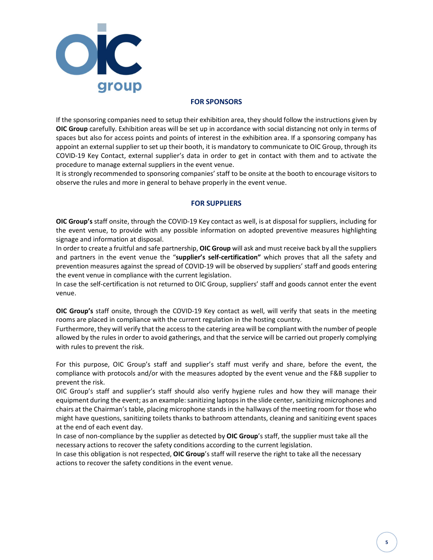

#### FOR SPONSORS

If the sponsoring companies need to setup their exhibition area, they should follow the instructions given by OIC Group carefully. Exhibition areas will be set up in accordance with social distancing not only in terms of spaces but also for access points and points of interest in the exhibition area. If a sponsoring company has appoint an external supplier to set up their booth, it is mandatory to communicate to OIC Group, through its COVID-19 Key Contact, external supplier's data in order to get in contact with them and to activate the procedure to manage external suppliers in the event venue.

It is strongly recommended to sponsoring companies' staff to be onsite at the booth to encourage visitors to observe the rules and more in general to behave properly in the event venue.

#### FOR SUPPLIERS

OIC Group's staff onsite, through the COVID-19 Key contact as well, is at disposal for suppliers, including for the event venue, to provide with any possible information on adopted preventive measures highlighting signage and information at disposal.

In order to create a fruitful and safe partnership, OIC Group will ask and must receive back by all the suppliers and partners in the event venue the "supplier's self-certification" which proves that all the safety and prevention measures against the spread of COVID-19 will be observed by suppliers' staff and goods entering the event venue in compliance with the current legislation.

In case the self-certification is not returned to OIC Group, suppliers' staff and goods cannot enter the event venue.

OIC Group's staff onsite, through the COVID-19 Key contact as well, will verify that seats in the meeting rooms are placed in compliance with the current regulation in the hosting country.

Furthermore, they will verify that the access to the catering area will be compliant with the number of people allowed by the rules in order to avoid gatherings, and that the service will be carried out properly complying with rules to prevent the risk.

For this purpose, OIC Group's staff and supplier's staff must verify and share, before the event, the compliance with protocols and/or with the measures adopted by the event venue and the F&B supplier to prevent the risk.

OIC Group's staff and supplier's staff should also verify hygiene rules and how they will manage their equipment during the event; as an example: sanitizing laptops in the slide center, sanitizing microphones and chairs at the Chairman's table, placing microphone stands in the hallways of the meeting room for those who might have questions, sanitizing toilets thanks to bathroom attendants, cleaning and sanitizing event spaces at the end of each event day.

In case of non-compliance by the supplier as detected by **OIC Group**'s staff, the supplier must take all the necessary actions to recover the safety conditions according to the current legislation.

In case this obligation is not respected, OIC Group's staff will reserve the right to take all the necessary actions to recover the safety conditions in the event venue.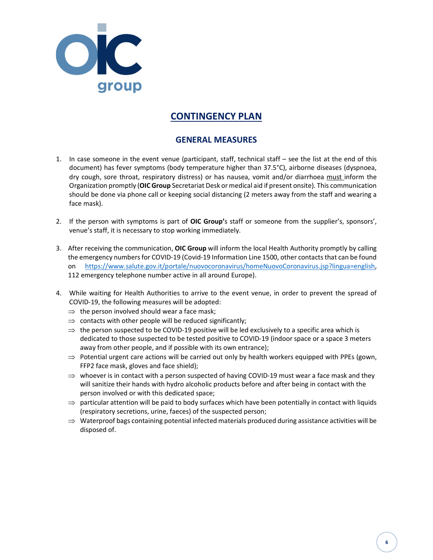

# CONTINGENCY PLAN

# GENERAL MEASURES

- 1. In case someone in the event venue (participant, staff, technical staff see the list at the end of this document) has fever symptoms (body temperature higher than 37.5°C), airborne diseases (dyspnoea, dry cough, sore throat, respiratory distress) or has nausea, vomit and/or diarrhoea must inform the Organization promptly (OIC Group Secretariat Desk or medical aid if present onsite). This communication should be done via phone call or keeping social distancing (2 meters away from the staff and wearing a face mask).
- 2. If the person with symptoms is part of OIC Group's staff or someone from the supplier's, sponsors', venue's staff, it is necessary to stop working immediately.
- 3. After receiving the communication, OIC Group will inform the local Health Authority promptly by calling the emergency numbers for COVID-19 (Covid-19 Information Line 1500, other contacts that can be found on https://www.salute.gov.it/portale/nuovocoronavirus/homeNuovoCoronavirus.jsp?lingua=english, 112 emergency telephone number active in all around Europe).
- 4. While waiting for Health Authorities to arrive to the event venue, in order to prevent the spread of COVID-19, the following measures will be adopted:
	- $\Rightarrow$  the person involved should wear a face mask;
	- $\Rightarrow$  contacts with other people will be reduced significantly;
	- $\Rightarrow$  the person suspected to be COVID-19 positive will be led exclusively to a specific area which is dedicated to those suspected to be tested positive to COVID-19 (indoor space or a space 3 meters away from other people, and if possible with its own entrance);
	- $\Rightarrow$  Potential urgent care actions will be carried out only by health workers equipped with PPEs (gown, FFP2 face mask, gloves and face shield);
	- $\Rightarrow$  whoever is in contact with a person suspected of having COVID-19 must wear a face mask and they will sanitize their hands with hydro alcoholic products before and after being in contact with the person involved or with this dedicated space;
	- $\Rightarrow$  particular attention will be paid to body surfaces which have been potentially in contact with liquids (respiratory secretions, urine, faeces) of the suspected person;
	- $\Rightarrow$  Waterproof bags containing potential infected materials produced during assistance activities will be disposed of.